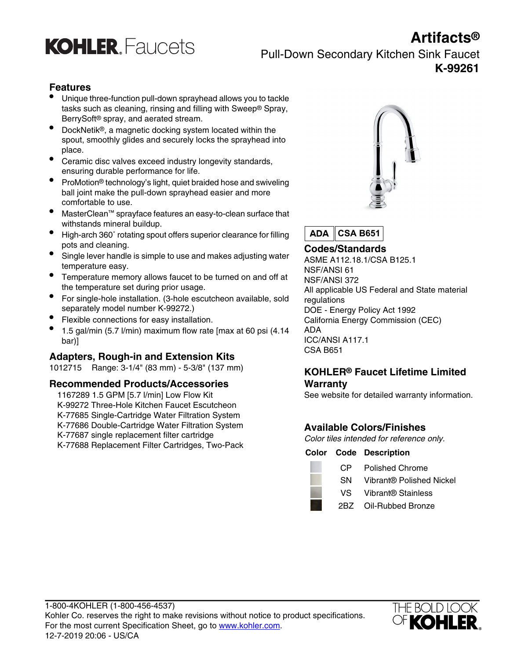

### **Artifacts®** Pull-Down Secondary Kitchen Sink Faucet **K-99261**

### **Features**

- Unique three-function pull-down sprayhead allows you to tackle tasks such as cleaning, rinsing and filling with Sweep® Spray, BerrySoft® spray, and aerated stream.
- DockNetik®, a magnetic docking system located within the spout, smoothly glides and securely locks the sprayhead into place.
- Ceramic disc valves exceed industry longevity standards, ensuring durable performance for life.
- **•** ProMotion<sup>®</sup> technology's light, quiet braided hose and swiveling ball joint make the pull-down sprayhead easier and more comfortable to use.
- MasterClean™ sprayface features an easy-to-clean surface that withstands mineral buildup.
- High-arch 360˚ rotating spout offers superior clearance for filling
- pots and cleaning.<br>**Codes/Standards** Single lever handle is simple to use and makes adjusting water<br>ASME A112 18 1/CSA temperature easy.
- Temperature memory allows faucet to be turned on and off at the temperature set during prior usage.
- For single-hole installation. (3-hole escutcheon available, sold regulations separately model number K-99272.)
- Flexible connections for easy installation. California Energy Commission (CEC)
- 1.5 gal/min (5.7 l/min) maximum flow rate [max at 60 psi (4.14 ADA bar)] ICC/ANSI A117.1

### **Adapters, Rough-in and Extension Kits**

<sup>1012715</sup> Range: 3-1/4" (83 mm) - 5-3/8" (137 mm) **KOHLER® Faucet Lifetime Limited**

### **Recommended Products/Accessories Warranty**

1167289 1.5 GPM [5.7 I/min] Low Flow Kit See website for detailed warranty information. K-99272 Three-Hole Kitchen Faucet Escutcheon K-77685 Single-Cartridge Water Filtration System K-77686 Double-Cartridge Water Filtration System<br>K-77687 single replacement filter cartridge<br>Color tiles intended for reference K-77688 Replacement Filter Cartridges, Two-Pack



**ADA CSA B651**

ASME A112.18.1/CSA B125.1 NSF/ANSI 61 NSF/ANSI 372 All applicable US Federal and State material DOE - Energy Policy Act 1992

Color tiles intended for reference only.

### **Color Code Description**

| CP.  | Polished Chrome          |
|------|--------------------------|
| SN.  | Vibrant® Polished Nickel |
| VS - | Vibrant® Stainless       |
| 2BZ  | Oil-Rubbed Bronze        |